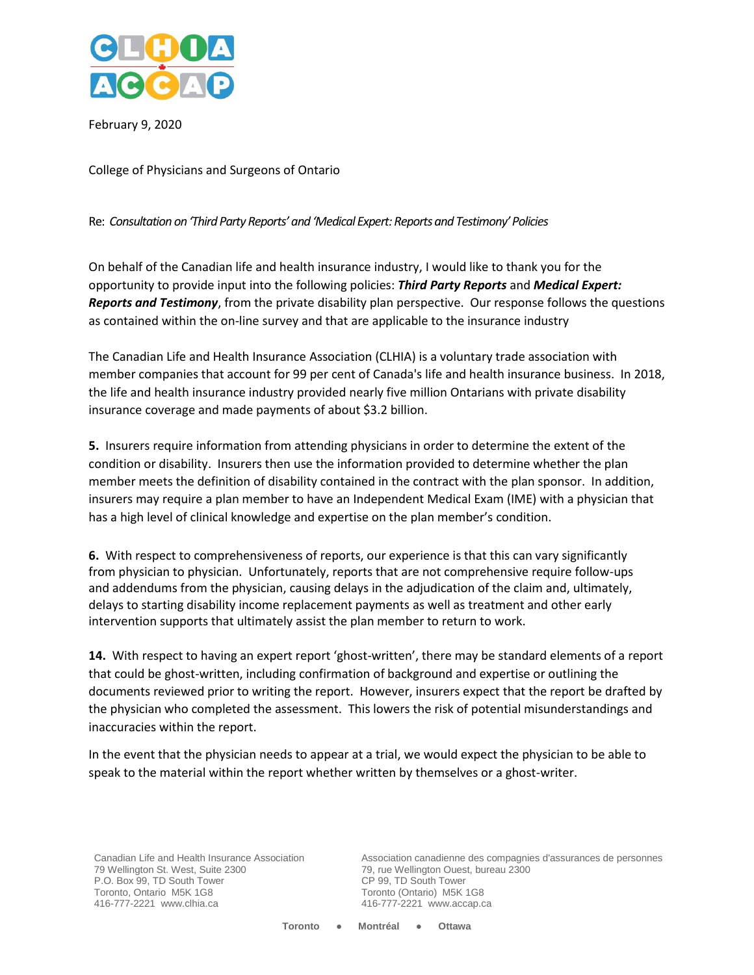

February 9, 2020

College of Physicians and Surgeons of Ontario

Re: *Consultation on 'Third Party Reports' and 'Medical Expert: Reports and Testimony' Policies*

On behalf of the Canadian life and health insurance industry, I would like to thank you for the opportunity to provide input into the following policies: *Third Party Reports* and *Medical Expert: Reports and Testimony*, from the private disability plan perspective. Our response follows the questions as contained within the on-line survey and that are applicable to the insurance industry

The Canadian Life and Health Insurance Association (CLHIA) is a voluntary trade association with member companies that account for 99 per cent of Canada's life and health insurance business. In 2018, the life and health insurance industry provided nearly five million Ontarians with private disability insurance coverage and made payments of about \$3.2 billion.

**5.** Insurers require information from attending physicians in order to determine the extent of the condition or disability. Insurers then use the information provided to determine whether the plan member meets the definition of disability contained in the contract with the plan sponsor. In addition, insurers may require a plan member to have an Independent Medical Exam (IME) with a physician that has a high level of clinical knowledge and expertise on the plan member's condition.

**6.** With respect to comprehensiveness of reports, our experience is that this can vary significantly from physician to physician. Unfortunately, reports that are not comprehensive require follow-ups and addendums from the physician, causing delays in the adjudication of the claim and, ultimately, delays to starting disability income replacement payments as well as treatment and other early intervention supports that ultimately assist the plan member to return to work.

**14.** With respect to having an expert report 'ghost-written', there may be standard elements of a report that could be ghost-written, including confirmation of background and expertise or outlining the documents reviewed prior to writing the report. However, insurers expect that the report be drafted by the physician who completed the assessment. This lowers the risk of potential misunderstandings and inaccuracies within the report.

In the event that the physician needs to appear at a trial, we would expect the physician to be able to speak to the material within the report whether written by themselves or a ghost-writer.

Canadian Life and Health Insurance Association 79 Wellington St. West, Suite 2300 P.O. Box 99, TD South Tower Toronto, Ontario M5K 1G8 416-777-2221 www.clhia.ca

Association canadienne des compagnies d'assurances de personnes 79, rue Wellington Ouest, bureau 2300 CP 99, TD South Tower Toronto (Ontario) M5K 1G8 416-777-2221 www.accap.ca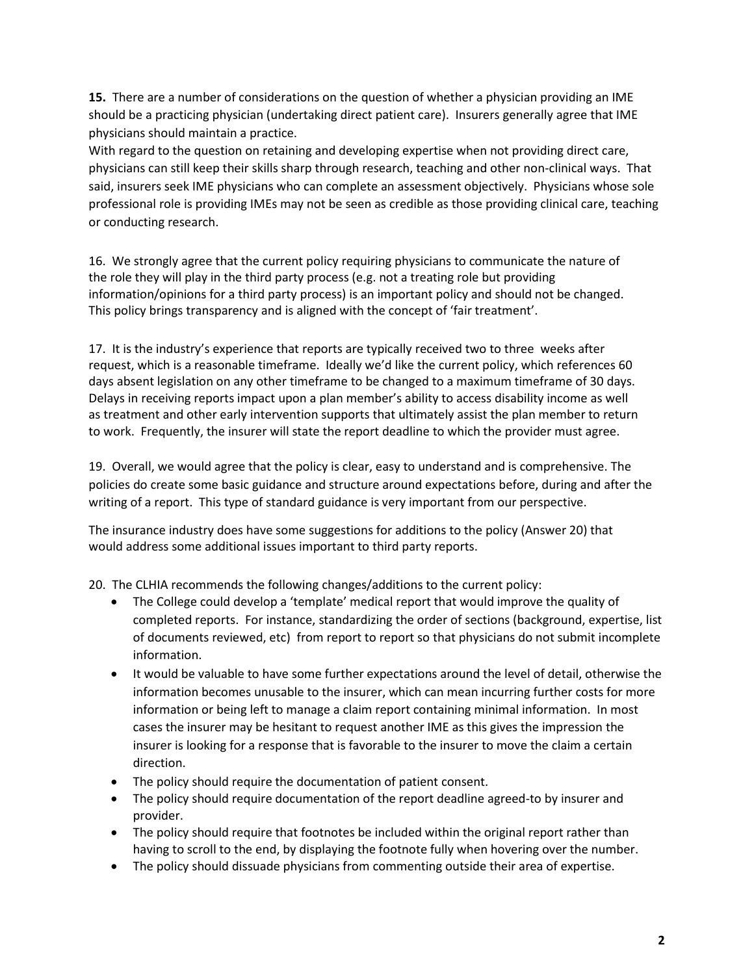**15.** There are a number of considerations on the question of whether a physician providing an IME should be a practicing physician (undertaking direct patient care). Insurers generally agree that IME physicians should maintain a practice.

With regard to the question on retaining and developing expertise when not providing direct care, physicians can still keep their skills sharp through research, teaching and other non-clinical ways. That said, insurers seek IME physicians who can complete an assessment objectively. Physicians whose sole professional role is providing IMEs may not be seen as credible as those providing clinical care, teaching or conducting research.

16. We strongly agree that the current policy requiring physicians to communicate the nature of the role they will play in the third party process (e.g. not a treating role but providing information/opinions for a third party process) is an important policy and should not be changed. This policy brings transparency and is aligned with the concept of 'fair treatment'.

17. It is the industry's experience that reports are typically received two to three weeks after request, which is a reasonable timeframe. Ideally we'd like the current policy, which references 60 days absent legislation on any other timeframe to be changed to a maximum timeframe of 30 days. Delays in receiving reports impact upon a plan member's ability to access disability income as well as treatment and other early intervention supports that ultimately assist the plan member to return to work. Frequently, the insurer will state the report deadline to which the provider must agree.

19. Overall, we would agree that the policy is clear, easy to understand and is comprehensive. The policies do create some basic guidance and structure around expectations before, during and after the writing of a report. This type of standard guidance is very important from our perspective.

The insurance industry does have some suggestions for additions to the policy (Answer 20) that would address some additional issues important to third party reports.

20. The CLHIA recommends the following changes/additions to the current policy:

- The College could develop a 'template' medical report that would improve the quality of completed reports. For instance, standardizing the order of sections (background, expertise, list of documents reviewed, etc) from report to report so that physicians do not submit incomplete information.
- It would be valuable to have some further expectations around the level of detail, otherwise the information becomes unusable to the insurer, which can mean incurring further costs for more information or being left to manage a claim report containing minimal information. In most cases the insurer may be hesitant to request another IME as this gives the impression the insurer is looking for a response that is favorable to the insurer to move the claim a certain direction.
- The policy should require the documentation of patient consent.
- The policy should require documentation of the report deadline agreed-to by insurer and provider.
- The policy should require that footnotes be included within the original report rather than having to scroll to the end, by displaying the footnote fully when hovering over the number.
- The policy should dissuade physicians from commenting outside their area of expertise.